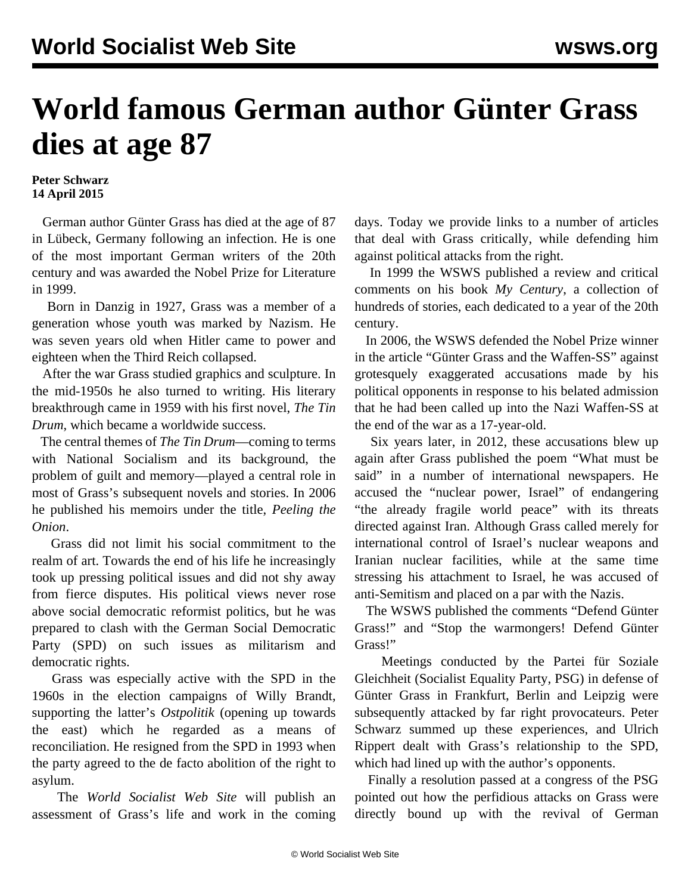## **World famous German author Günter Grass dies at age 87**

## **Peter Schwarz 14 April 2015**

 German author Günter Grass has died at the age of 87 in Lübeck, Germany following an infection. He is one of the most important German writers of the 20th century and was awarded the Nobel Prize for Literature in 1999.

 Born in Danzig in 1927, Grass was a member of a generation whose youth was marked by Nazism. He was seven years old when Hitler came to power and eighteen when the Third Reich collapsed.

 After the war Grass studied graphics and sculpture. In the mid-1950s he also turned to writing. His literary breakthrough came in 1959 with his first novel, *The Tin Drum*, which became a worldwide success.

 The central themes of *The Tin Drum*—coming to terms with National Socialism and its background, the problem of guilt and memory—played a central role in most of Grass's subsequent novels and stories. In 2006 he published his memoirs under the title, *Peeling the Onion*.

 Grass did not limit his social commitment to the realm of art. Towards the end of his life he increasingly took up pressing political issues and did not shy away from fierce disputes. His political views never rose above social democratic reformist politics, but he was prepared to clash with the German Social Democratic Party (SPD) on such issues as militarism and democratic rights.

 Grass was especially active with the SPD in the 1960s in the election campaigns of Willy Brandt, supporting the latter's *Ostpolitik* (opening up towards the east) which he regarded as a means of reconciliation. He resigned from the SPD in 1993 when the party agreed to the de facto abolition of the right to asylum.

 The *World Socialist Web Site* will publish an assessment of Grass's life and work in the coming days. Today we provide links to a number of articles that deal with Grass critically, while defending him against political attacks from the right.

 In 1999 the WSWS [published a review](/en/articles/2000/02/gras-f08.html) and critical comments on his book *My Century*, a collection of hundreds of stories, each dedicated to a year of the 20th century.

 In 2006, the WSWS defended the Nobel Prize winner in the article "[Günter Grass and the Waffen-SS](/en/articles/2012/05/gras-m04.html)" against grotesquely exaggerated accusations made by his political opponents in response to his belated admission that he had been called up into the Nazi Waffen-SS at the end of the war as a 17-year-old.

 Six years later, in 2012, these accusations blew up again after Grass published the poem "What must be said" in a number of international newspapers. He accused the "nuclear power, Israel" of endangering "the already fragile world peace" with its threats directed against Iran. Although Grass called merely for international control of Israel's nuclear weapons and Iranian nuclear facilities, while at the same time stressing his attachment to Israel, he was [accused of](/en/articles/2012/04/gras-a21.html) [anti-Semitism](/en/articles/2012/04/gras-a21.html) and placed on a par with the Nazis.

 The WSWS published the comments "[Defend Günter](/en/articles/2012/04/gras-a07.html) [Grass!"](/en/articles/2012/04/gras-a07.html) and ["Stop the warmongers! Defend Günter](/en/articles/2012/04/pers-a11.html) [Grass!"](/en/articles/2012/04/pers-a11.html)

 Meetings conducted by the Partei für Soziale Gleichheit (Socialist Equality Party, PSG) in defense of Günter Grass in Frankfurt, Berlin and Leipzig were subsequently [attacked by far right provocateurs](/en/articles/2012/04/gras-a28.html). Peter Schwarz [summed up](/en/articles/2012/05/gras-m05.html) these experiences, and Ulrich Rippert [dealt with](/en/articles/2012/05/gras-m10.html) Grass's relationship to the SPD, which had lined up with the author's opponents.

 Finally a [resolution](/en/articles/2012/08/reso-a16.html) passed at a congress of the PSG pointed out how the perfidious attacks on Grass were directly bound up with the revival of German